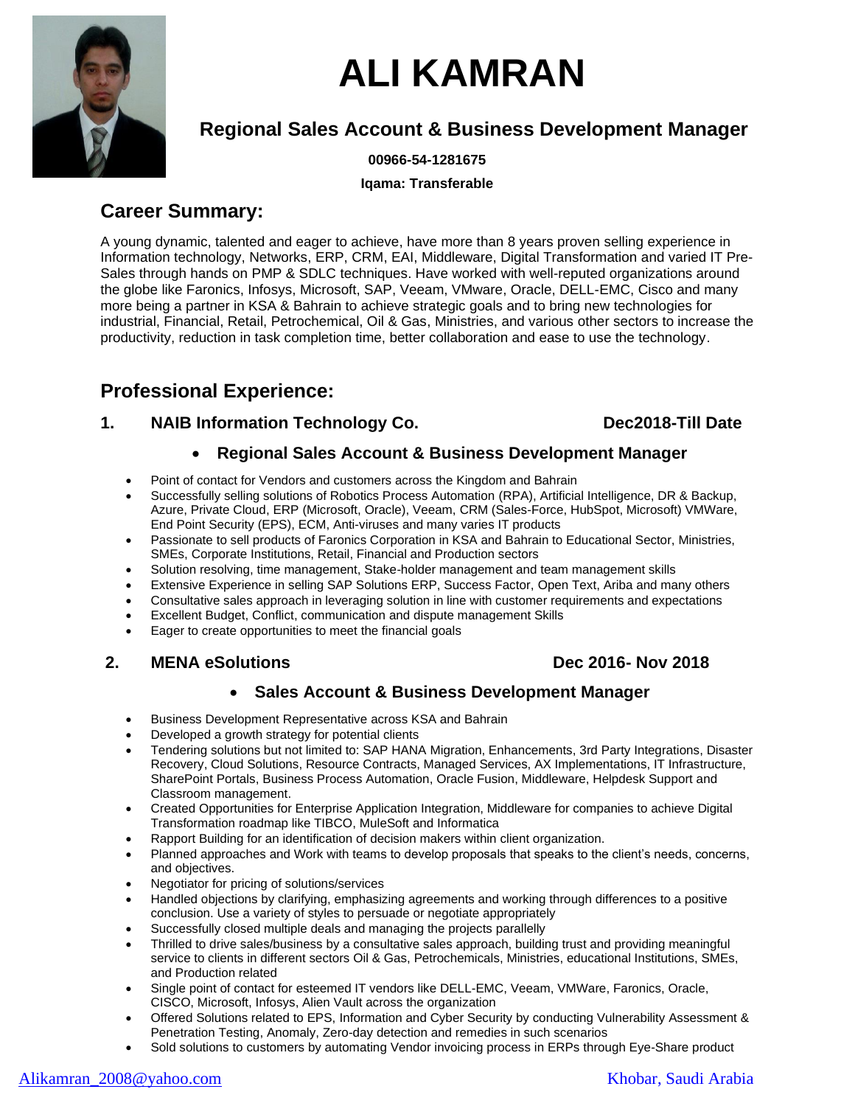

# **ALI KAMRAN**

# **Regional Sales Account & Business Development Manager**

**00966-54-1281675**

**Iqama: Transferable**

# **Career Summary:**

A young dynamic, talented and eager to achieve, have more than 8 years proven selling experience in Information technology, Networks, ERP, CRM, EAI, Middleware, Digital Transformation and varied IT Pre-Sales through hands on PMP & SDLC techniques. Have worked with well-reputed organizations around the globe like Faronics, Infosys, Microsoft, SAP, Veeam, VMware, Oracle, DELL-EMC, Cisco and many more being a partner in KSA & Bahrain to achieve strategic goals and to bring new technologies for industrial, Financial, Retail, Petrochemical, Oil & Gas, Ministries, and various other sectors to increase the productivity, reduction in task completion time, better collaboration and ease to use the technology.

# **Professional Experience:**

### **1. NAIB Information Technology Co. Dec2018-Till Date**

### • **Regional Sales Account & Business Development Manager**

- Point of contact for Vendors and customers across the Kingdom and Bahrain
- Successfully selling solutions of Robotics Process Automation (RPA), Artificial Intelligence, DR & Backup, Azure, Private Cloud, ERP (Microsoft, Oracle), Veeam, CRM (Sales-Force, HubSpot, Microsoft) VMWare, End Point Security (EPS), ECM, Anti-viruses and many varies IT products
- Passionate to sell products of Faronics Corporation in KSA and Bahrain to Educational Sector, Ministries, SMEs, Corporate Institutions, Retail, Financial and Production sectors
- Solution resolving, time management, Stake-holder management and team management skills
- Extensive Experience in selling SAP Solutions ERP, Success Factor, Open Text, Ariba and many others
- Consultative sales approach in leveraging solution in line with customer requirements and expectations
- Excellent Budget, Conflict, communication and dispute management Skills
- Eager to create opportunities to meet the financial goals

### **2. MENA eSolutions Dec 2016- Nov 2018**

### • **Sales Account & Business Development Manager**

- Business Development Representative across KSA and Bahrain
- Developed a growth strategy for potential clients
- Tendering solutions but not limited to: SAP HANA Migration, Enhancements, 3rd Party Integrations, Disaster Recovery, Cloud Solutions, Resource Contracts, Managed Services, AX Implementations, IT Infrastructure, SharePoint Portals, Business Process Automation, Oracle Fusion, Middleware, Helpdesk Support and Classroom management.
- Created Opportunities for Enterprise Application Integration, Middleware for companies to achieve Digital Transformation roadmap like TIBCO, MuleSoft and Informatica
- Rapport Building for an identification of decision makers within client organization.
- Planned approaches and Work with teams to develop proposals that speaks to the client's needs, concerns, and objectives.
- Negotiator for pricing of solutions/services
- Handled objections by clarifying, emphasizing agreements and working through differences to a positive conclusion. Use a variety of styles to persuade or negotiate appropriately
- Successfully closed multiple deals and managing the projects parallelly
- Thrilled to drive sales/business by a consultative sales approach, building trust and providing meaningful service to clients in different sectors Oil & Gas, Petrochemicals, Ministries, educational Institutions, SMEs, and Production related
- Single point of contact for esteemed IT vendors like DELL-EMC, Veeam, VMWare, Faronics, Oracle, CISCO, Microsoft, Infosys, Alien Vault across the organization
- Offered Solutions related to EPS, Information and Cyber Security by conducting Vulnerability Assessment & Penetration Testing, Anomaly, Zero-day detection and remedies in such scenarios
- Sold solutions to customers by automating Vendor invoicing process in ERPs through Eye-Share product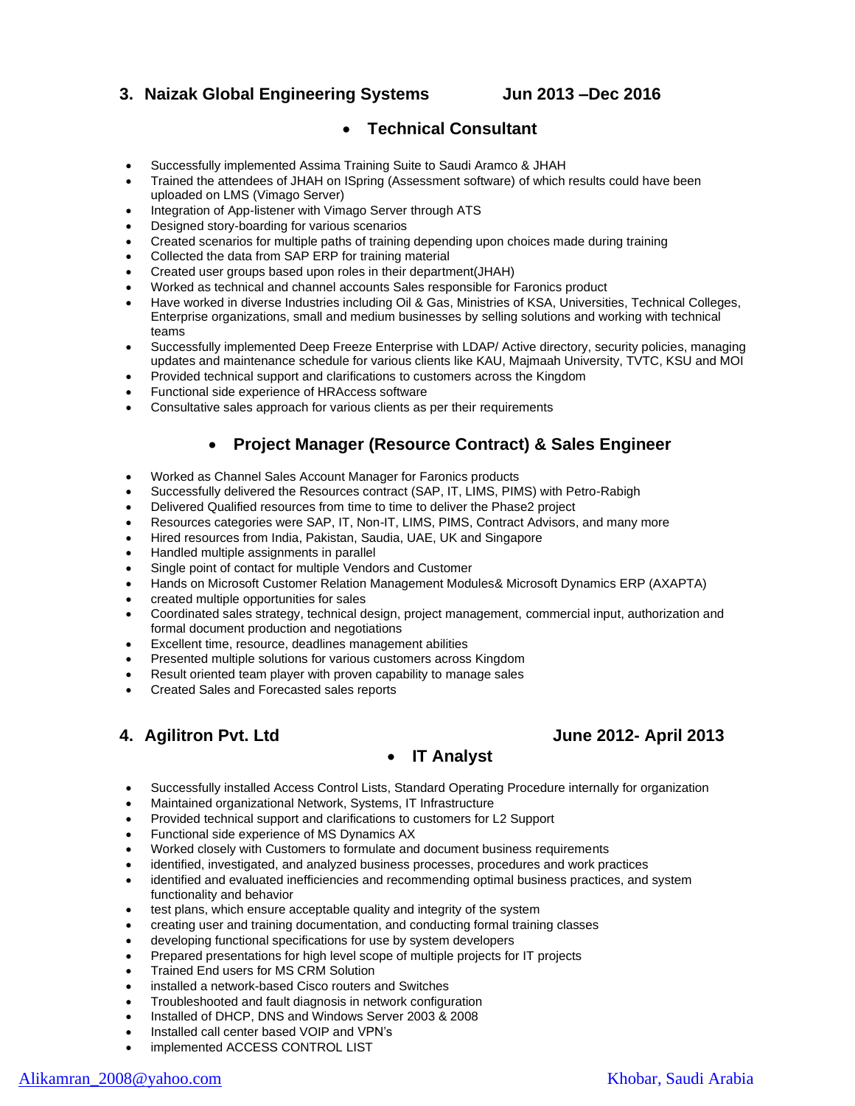#### **3. Naizak Global Engineering Systems Jun 2013 –Dec 2016**

#### • **Technical Consultant**

- Successfully implemented Assima Training Suite to Saudi Aramco & JHAH
- Trained the attendees of JHAH on ISpring (Assessment software) of which results could have been uploaded on LMS (Vimago Server)
- Integration of App-listener with Vimago Server through ATS
- Designed story-boarding for various scenarios
- Created scenarios for multiple paths of training depending upon choices made during training
- Collected the data from SAP ERP for training material
- Created user groups based upon roles in their department(JHAH)
- Worked as technical and channel accounts Sales responsible for Faronics product
- Have worked in diverse Industries including Oil & Gas, Ministries of KSA, Universities, Technical Colleges, Enterprise organizations, small and medium businesses by selling solutions and working with technical teams
- Successfully implemented Deep Freeze Enterprise with LDAP/ Active directory, security policies, managing updates and maintenance schedule for various clients like KAU, Majmaah University, TVTC, KSU and MOI
- Provided technical support and clarifications to customers across the Kingdom
- Functional side experience of HRAccess software
- Consultative sales approach for various clients as per their requirements

### • **Project Manager (Resource Contract) & Sales Engineer**

- Worked as Channel Sales Account Manager for Faronics products
- Successfully delivered the Resources contract (SAP, IT, LIMS, PIMS) with Petro-Rabigh
- Delivered Qualified resources from time to time to deliver the Phase2 project
- Resources categories were SAP, IT, Non-IT, LIMS, PIMS, Contract Advisors, and many more
- Hired resources from India, Pakistan, Saudia, UAE, UK and Singapore
- Handled multiple assignments in parallel
- Single point of contact for multiple Vendors and Customer
- Hands on Microsoft Customer Relation Management Modules& Microsoft Dynamics ERP (AXAPTA)
- created multiple opportunities for sales
- Coordinated sales strategy, technical design, project management, commercial input, authorization and formal document production and negotiations
- Excellent time, resource, deadlines management abilities
- Presented multiple solutions for various customers across Kingdom
- Result oriented team player with proven capability to manage sales
- Created Sales and Forecasted sales reports

### • **IT Analyst**

- Successfully installed Access Control Lists, Standard Operating Procedure internally for organization
- Maintained organizational Network, Systems, IT Infrastructure
- Provided technical support and clarifications to customers for L2 Support
- Functional side experience of MS Dynamics AX
- Worked closely with Customers to formulate and document business requirements
- identified, investigated, and analyzed business processes, procedures and work practices
- identified and evaluated inefficiencies and recommending optimal business practices, and system functionality and behavior
- test plans, which ensure acceptable quality and integrity of the system
- creating user and training documentation, and conducting formal training classes
- developing functional specifications for use by system developers
- Prepared presentations for high level scope of multiple projects for IT projects
- Trained End users for MS CRM Solution
- installed a network-based Cisco routers and Switches
- Troubleshooted and fault diagnosis in network configuration
- Installed of DHCP, DNS and Windows Server 2003 & 2008
- Installed call center based VOIP and VPN's
- implemented ACCESS CONTROL LIST

#### [Alikamran\\_2008@yahoo.com](mailto:Alikamran_2008@yahoo.com) Khobar, Saudi Arabia

**4. Agilitron Pvt. Ltd June 2012- April 2013**